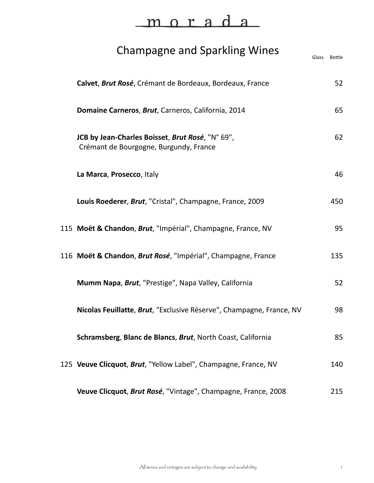# Champagne and Sparkling Wines

| Calvet, Brut Rosé, Crémant de Bordeaux, Bordeaux, France                                   | 52  |
|--------------------------------------------------------------------------------------------|-----|
| Domaine Carneros, Brut, Carneros, California, 2014                                         | 65  |
| JCB by Jean-Charles Boisset, Brut Rosé, "N° 69",<br>Crémant de Bourgogne, Burgundy, France | 62  |
| La Marca, Prosecco, Italy                                                                  | 46  |
| Louis Roederer, Brut, "Cristal", Champagne, France, 2009                                   | 450 |
| 115 Moët & Chandon, Brut, "Impérial", Champagne, France, NV                                | 95  |
| 116 Moët & Chandon, Brut Rosé, "Impérial", Champagne, France                               | 135 |
| Mumm Napa, Brut, "Prestige", Napa Valley, California                                       | 52  |
| Nicolas Feuillatte, Brut, "Exclusive Réserve", Champagne, France, NV                       | 98  |
| Schramsberg, Blanc de Blancs, Brut, North Coast, California                                | 85  |
| 125 Veuve Clicquot, Brut, "Yellow Label", Champagne, France, NV                            | 140 |
| Veuve Clicquot, Brut Rosé, "Vintage", Champagne, France, 2008                              | 215 |

Glass Bottle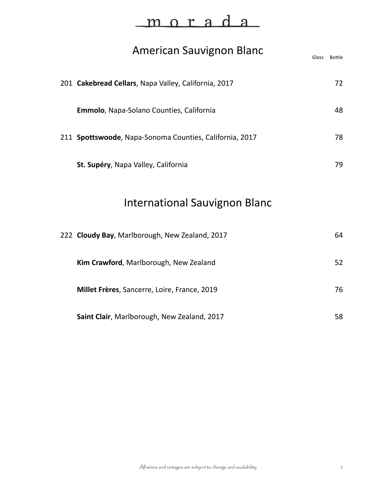| <b>American Sauvignon Blanc</b>                         | Glass | <b>Bottle</b> |
|---------------------------------------------------------|-------|---------------|
| 201 Cakebread Cellars, Napa Valley, California, 2017    |       | 72            |
| Emmolo, Napa-Solano Counties, California                |       | 48            |
| 211 Spottswoode, Napa-Sonoma Counties, California, 2017 |       | 78            |
| St. Supéry, Napa Valley, California                     |       | 79            |
| <b>International Sauvignon Blanc</b>                    |       |               |
| 222 Cloudy Bay, Marlborough, New Zealand, 2017          |       | 64            |
| Kim Crawford, Marlborough, New Zealand                  |       | 52            |
| Millet Frères, Sancerre, Loire, France, 2019            |       | 76            |

| Saint Clair, Marlborough, New Zealand, 2017 |  |
|---------------------------------------------|--|
|---------------------------------------------|--|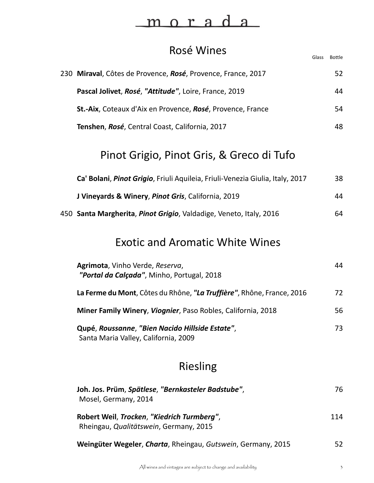| Rosé Wines                                                                              | Glass | <b>Bottle</b> |
|-----------------------------------------------------------------------------------------|-------|---------------|
| 230 Miraval, Côtes de Provence, Rosé, Provence, France, 2017                            |       | 52            |
| Pascal Jolivet, Rosé, "Attitude", Loire, France, 2019                                   |       | 44            |
| St.-Aix, Coteaux d'Aix en Provence, Rosé, Provence, France                              |       | 54            |
| Tenshen, Rosé, Central Coast, California, 2017                                          |       | 48            |
| Pinot Grigio, Pinot Gris, & Greco di Tufo                                               |       |               |
| Ca' Bolani, Pinot Grigio, Friuli Aquileia, Friuli-Venezia Giulia, Italy, 2017           |       | 38            |
| J Vineyards & Winery, Pinot Gris, California, 2019                                      |       | 44            |
| 450 Santa Margherita, Pinot Grigio, Valdadige, Veneto, Italy, 2016                      |       | 64            |
| <b>Exotic and Aromatic White Wines</b>                                                  |       |               |
| Agrimota, Vinho Verde, Reserva,<br>"Portal da Calçada", Minho, Portugal, 2018           |       | 44            |
| La Ferme du Mont, Côtes du Rhône, "La Truffière", Rhône, France, 2016                   |       | 72            |
| Miner Family Winery, Viognier, Paso Robles, California, 2018                            |       | 56            |
| Qupé, Roussanne, "Bien Nacido Hillside Estate",<br>Santa Maria Valley, California, 2009 |       | 73            |
|                                                                                         |       |               |

# Riesling

| Joh. Jos. Prüm, Spätlese, "Bernkasteler Badstube",<br>Mosel, Germany, 2014           |     |
|--------------------------------------------------------------------------------------|-----|
| Robert Weil, Trocken, "Kiedrich Turmberg",<br>Rheingau, Qualitätswein, Germany, 2015 | 114 |
| Weingüter Wegeler, Charta, Rheingau, Gutswein, Germany, 2015                         | 52. |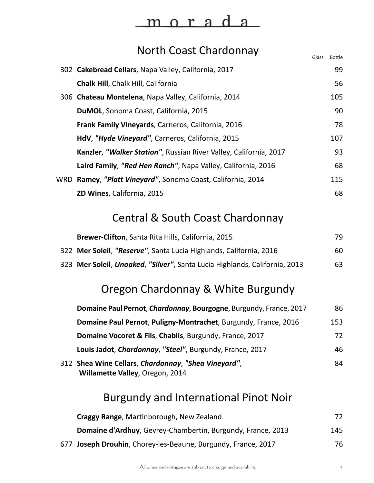#### <u>morad</u> a

#### North Coast Chardonnay

|     |                                                                   | Glass | <b>Bottle</b> |
|-----|-------------------------------------------------------------------|-------|---------------|
|     | 302 Cakebread Cellars, Napa Valley, California, 2017              |       | 99            |
|     | <b>Chalk Hill, Chalk Hill, California</b>                         |       | 56            |
|     | 306 Chateau Montelena, Napa Valley, California, 2014              |       | 105           |
|     | DuMOL, Sonoma Coast, California, 2015                             |       | 90            |
|     | Frank Family Vineyards, Carneros, California, 2016                |       | 78            |
|     | HdV, "Hyde Vineyard", Carneros, California, 2015                  |       | 107           |
|     | Kanzler, "Walker Station", Russian River Valley, California, 2017 |       | 93            |
|     | Laird Family, "Red Hen Ranch", Napa Valley, California, 2016      |       | 68            |
| WRD | Ramey, "Platt Vineyard", Sonoma Coast, California, 2014           |       | 115           |
|     | ZD Wines, California, 2015                                        |       | 68            |

#### Central & South Coast Chardonnay

| Brewer-Clifton, Santa Rita Hills, California, 2015                         | 79 |
|----------------------------------------------------------------------------|----|
| 322 Mer Soleil, "Reserve", Santa Lucia Highlands, California, 2016         | 60 |
| 323 Mer Soleil, Unoaked, "Silver", Santa Lucia Highlands, California, 2013 | 63 |

# Oregon Chardonnay & White Burgundy

| Domaine Paul Pernot, Chardonnay, Bourgogne, Burgundy, France, 2017                     | 86  |
|----------------------------------------------------------------------------------------|-----|
| Domaine Paul Pernot, Puligny-Montrachet, Burgundy, France, 2016                        | 153 |
| Domaine Vocoret & Fils, Chablis, Burgundy, France, 2017                                | 72  |
| Louis Jadot, Chardonnay, "Steel", Burgundy, France, 2017                               | 46  |
| 312 Shea Wine Cellars, Chardonnay, "Shea Vineyard",<br>Willamette Valley, Oregon, 2014 | 84  |

#### Burgundy and International Pinot Noir

| Craggy Range, Martinborough, New Zealand                           | 72  |
|--------------------------------------------------------------------|-----|
| <b>Domaine d'Ardhuy, Gevrey-Chambertin, Burgundy, France, 2013</b> | 145 |
| 677 Joseph Drouhin, Chorey-les-Beaune, Burgundy, France, 2017      | 76  |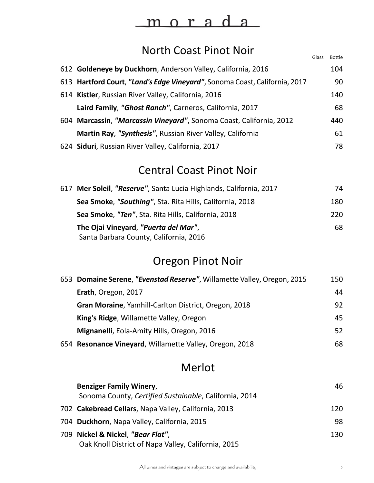# <u>morada</u>

# North Coast Pinot Noir

|                                                                            | Glass | <b>Bottle</b> |
|----------------------------------------------------------------------------|-------|---------------|
| 612 Goldeneye by Duckhorn, Anderson Valley, California, 2016               |       | 104           |
| 613 Hartford Court, "Land's Edge Vineyard", Sonoma Coast, California, 2017 |       | 90            |
| 614 Kistler, Russian River Valley, California, 2016                        |       | 140           |
| Laird Family, "Ghost Ranch", Carneros, California, 2017                    |       | 68            |
| 604 Marcassin, "Marcassin Vineyard", Sonoma Coast, California, 2012        |       | 440           |
| Martin Ray, "Synthesis", Russian River Valley, California                  |       | 61            |
| 624 Siduri, Russian River Valley, California, 2017                         |       | 78            |

### Central Coast Pinot Noir

| 617 Mer Soleil, "Reserve", Santa Lucia Highlands, California, 2017 | 74  |
|--------------------------------------------------------------------|-----|
| Sea Smoke, "Southing", Sta. Rita Hills, California, 2018           | 180 |
| Sea Smoke, "Ten", Sta. Rita Hills, California, 2018                | 220 |
| The Ojai Vineyard, "Puerta del Mar",                               | 68  |
| Santa Barbara County, California, 2016                             |     |

# Oregon Pinot Noir

| 653 Domaine Serene, "Evenstad Reserve", Willamette Valley, Oregon, 2015 | 150 |
|-------------------------------------------------------------------------|-----|
| Erath, Oregon, 2017                                                     | 44  |
| Gran Moraine, Yamhill-Carlton District, Oregon, 2018                    | 92  |
| King's Ridge, Willamette Valley, Oregon                                 | 45  |
| Mignanelli, Eola-Amity Hills, Oregon, 2016                              | 52  |
| 654 Resonance Vineyard, Willamette Valley, Oregon, 2018                 | 68  |

# Merlot

| <b>Benziger Family Winery,</b><br>Sonoma County, Certified Sustainable, California, 2014 | 46  |
|------------------------------------------------------------------------------------------|-----|
| 702 Cakebread Cellars, Napa Valley, California, 2013                                     | 120 |
| 704 Duckhorn, Napa Valley, California, 2015                                              | 98  |
| 709 Nickel & Nickel, "Bear Flat",<br>Oak Knoll District of Napa Valley, California, 2015 | 130 |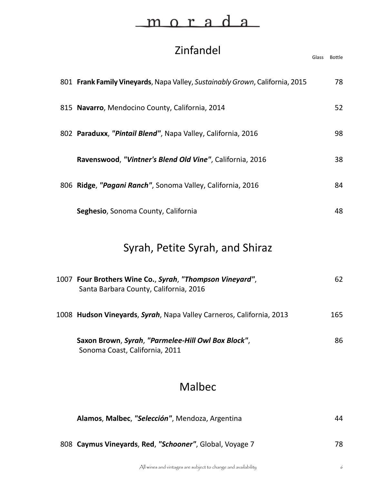# Zinfandel Glass Bottle 801 **Frank Family Vineyards**, Napa Valley, Sustainably Grown, California, 2015 78 815 **Navarro**, Mendocino County, California, 2014 52 802 **Paraduxx**, *"Pintail Blend"*, Napa Valley, California, 2016 98 **Ravenswood**, *"Vintner's Blend Old Vine"*, California, 2016 38 806 **Ridge**, *"Pagani Ranch"*, Sonoma Valley, California, 2016 84 **Seghesio**, Sonoma County, California **1888** Syrah, Petite Syrah, and Shiraz **Four Brothers Wine Co.**, *Syrah*, *"Thompson Vineyard"*, 62 1007 Santa Barbara County, California, 2016 1008 **Hudson Vineyards**, *Syrah*, Napa Valley Carneros, California, 2013 165 **Saxon Brown**, *Syrah*, *"Parmelee-Hill Owl Box Block"*, 86 Sonoma Coast, California, 2011

#### Malbec

| Alamos, Malbec, "Selección", Mendoza, Argentina         | 44 |
|---------------------------------------------------------|----|
| 808 Caymus Vineyards, Red, "Schooner", Global, Voyage 7 | 78 |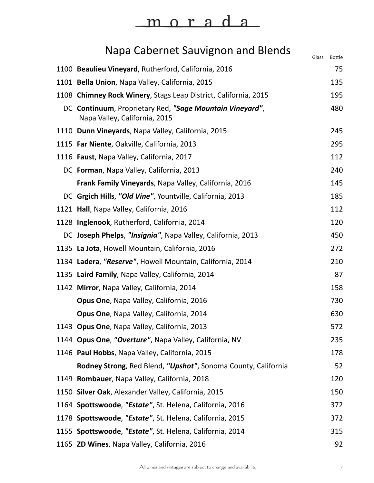# <u>morada</u>

# Napa Cabernet Sauvignon and Blends

| <b>Paper including item and Dicity</b>                                                    | Glass | <b>Bottle</b> |
|-------------------------------------------------------------------------------------------|-------|---------------|
| 1100 Beaulieu Vineyard, Rutherford, California, 2016                                      |       | 75            |
| 1101 Bella Union, Napa Valley, California, 2015                                           |       | 135           |
| 1108 Chimney Rock Winery, Stags Leap District, California, 2015                           |       | 195           |
| DC Continuum, Proprietary Red, "Sage Mountain Vineyard",<br>Napa Valley, California, 2015 |       | 480           |
| 1110 Dunn Vineyards, Napa Valley, California, 2015                                        |       | 245           |
| 1115 Far Niente, Oakville, California, 2013                                               |       | 295           |
| 1116 Faust, Napa Valley, California, 2017                                                 |       | 112           |
| DC Forman, Napa Valley, California, 2013                                                  |       | 240           |
| Frank Family Vineyards, Napa Valley, California, 2016                                     |       | 145           |
| DC Grgich Hills, "Old Vine", Yountville, California, 2013                                 |       | 185           |
| 1121 Hall, Napa Valley, California, 2016                                                  |       | 112           |
| 1128 Inglenook, Rutherford, California, 2014                                              |       | 120           |
| DC Joseph Phelps, "Insignia", Napa Valley, California, 2013                               |       | 450           |
| 1135 La Jota, Howell Mountain, California, 2016                                           |       | 272           |
| 1134 Ladera, "Reserve", Howell Mountain, California, 2014                                 |       | 210           |
| 1135 Laird Family, Napa Valley, California, 2014                                          |       | 87            |
| 1142 Mirror, Napa Valley, California, 2014                                                |       | 158           |
| Opus One, Napa Valley, California, 2016                                                   |       | 730           |
| Opus One, Napa Valley, California, 2014                                                   |       | 630           |
| 1143 Opus One, Napa Valley, California, 2013                                              |       | 572           |
| 1144 Opus One, "Overture", Napa Valley, California, NV                                    |       | 235           |
| 1146 Paul Hobbs, Napa Valley, California, 2015                                            |       | 178           |
| Rodney Strong, Red Blend, "Upshot", Sonoma County, California                             |       | 52            |
| 1149 Rombauer, Napa Valley, California, 2018                                              |       | 120           |
| 1150 Silver Oak, Alexander Valley, California, 2015                                       |       | 150           |
| 1164 Spottswoode, "Estate", St. Helena, California, 2016                                  |       | 372           |
| 1178 Spottswoode, "Estate", St. Helena, California, 2015                                  |       | 372           |
| 1155 Spottswoode, "Estate", St. Helena, California, 2014                                  |       | 315           |
| 1165 ZD Wines, Napa Valley, California, 2016                                              |       | 92            |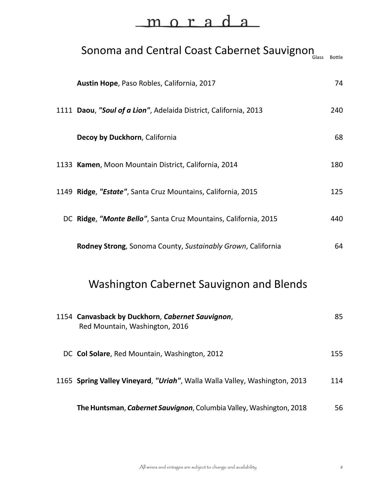# <u>morada</u>

# Sonoma and Central Coast Cabernet Sauvignon **Austin Hope**, Paso Robles, California, 2017 **74** 1111 **Daou**, *"Soul of a Lion"*, Adelaida District, California, 2013 240 **Decoy by Duckhorn**, California 68 1133 **Kamen**, Moon Mountain District, California, 2014 180 1149 **Ridge**, *"Estate"*, Santa Cruz Mountains, California, 2015 125 DC **Ridge**, *"Monte Bello"*, Santa Cruz Mountains, California, 2015 440 **Rodney Strong**, Sonoma County, *Sustainably Grown*, California 64 Washington Cabernet Sauvignon and Blends **Canvasback by Duckhorn**, *Cabernet Sauvignon*, 85 1154 Red Mountain, Washington, 2016 DC **Col Solare**, Red Mountain, Washington, 2012 155 1165 **Spring Valley Vineyard**, *"Uriah"*, Walla Walla Valley, Washington, 2013 114

**The Huntsman,** *Cabernet Sauvignon*, Columbia Valley, Washington, 2018 56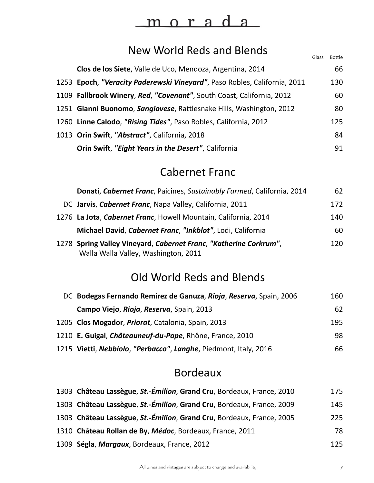#### New World Reds and Blends

| Clos de los Siete, Valle de Uco, Mendoza, Argentina, 2014                 | 66  |
|---------------------------------------------------------------------------|-----|
| 1253 Epoch, "Veracity Paderewski Vineyard", Paso Robles, California, 2011 | 130 |
| 1109 Fallbrook Winery, Red, "Covenant", South Coast, California, 2012     | 60  |
| 1251 Gianni Buonomo, Sangiovese, Rattlesnake Hills, Washington, 2012      | 80  |
| 1260 Linne Calodo, "Rising Tides", Paso Robles, California, 2012          | 125 |
| 1013 Orin Swift, "Abstract", California, 2018                             | 84  |
| Orin Swift, "Eight Years in the Desert", California                       | 91  |

#### Cabernet Franc

| Donati, Cabernet Franc, Paicines, Sustainably Farmed, California, 2014                                    | 62  |
|-----------------------------------------------------------------------------------------------------------|-----|
| DC Jarvis, Cabernet Franc, Napa Valley, California, 2011                                                  | 172 |
| 1276 La Jota, Cabernet Franc, Howell Mountain, California, 2014                                           | 140 |
| Michael David, Cabernet Franc, "Inkblot", Lodi, California                                                | 60  |
| 1278 Spring Valley Vineyard, Cabernet Franc, "Katherine Corkrum",<br>Walla Walla Valley, Washington, 2011 | 120 |

#### Old World Reds and Blends

| DC Bodegas Fernando Remírez de Ganuza, Rioja, Reserva, Spain, 2006 | 160 |
|--------------------------------------------------------------------|-----|
| Campo Viejo, Rioja, Reserva, Spain, 2013                           | 62  |
| 1205 Clos Mogador, Priorat, Catalonia, Spain, 2013                 | 195 |
| 1210 E. Guigal, <i>Châteauneuf-du-Pape</i> , Rhône, France, 2010   | 98  |
| 1215 Vietti, Nebbiolo, "Perbacco", Langhe, Piedmont, Italy, 2016   | 66  |

#### Bordeaux

| 1303 Château Lassègue, St.-Émilion, Grand Cru, Bordeaux, France, 2010 | 175 |
|-----------------------------------------------------------------------|-----|
| 1303 Château Lassègue, St.-Émilion, Grand Cru, Bordeaux, France, 2009 | 145 |
| 1303 Château Lassègue, St.-Émilion, Grand Cru, Bordeaux, France, 2005 | 225 |
| 1310 Château Rollan de By, Médoc, Bordeaux, France, 2011              | 78  |
| 1309 Ségla, Margaux, Bordeaux, France, 2012                           | 125 |

Glass Bottle